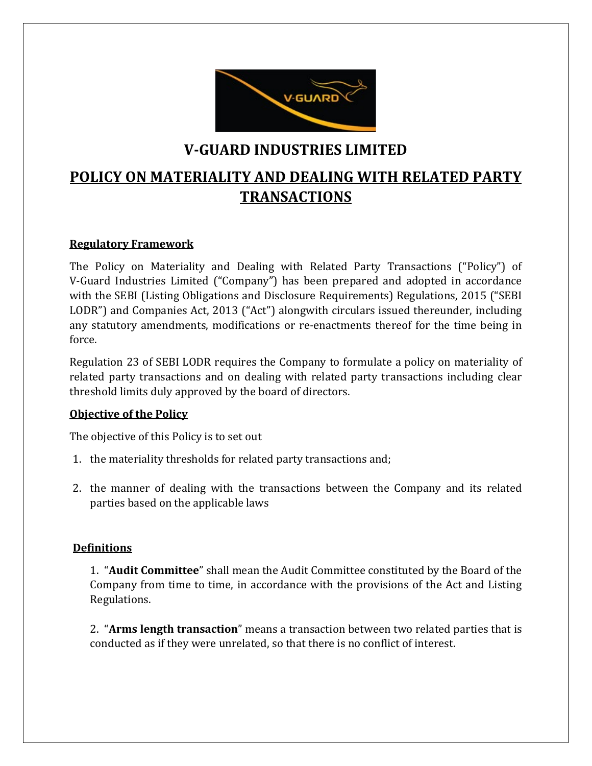

## **V-GUARD INDUSTRIES LIMITED**

# **POLICY ON MATERIALITY AND DEALING WITH RELATED PARTY TRANSACTIONS**

#### **Regulatory Framework**

The Policy on Materiality and Dealing with Related Party Transactions ("Policy") of V-Guard Industries Limited ("Company") has been prepared and adopted in accordance with the SEBI (Listing Obligations and Disclosure Requirements) Regulations, 2015 ("SEBI LODR") and Companies Act, 2013 ("Act") alongwith circulars issued thereunder, including any statutory amendments, modifications or re-enactments thereof for the time being in force.

Regulation 23 of SEBI LODR requires the Company to formulate a policy on materiality of related party transactions and on dealing with related party transactions including clear threshold limits duly approved by the board of directors.

#### **Objective of the Policy**

The objective of this Policy is to set out

- 1. the materiality thresholds for related party transactions and;
- 2. the manner of dealing with the transactions between the Company and its related parties based on the applicable laws

#### **Definitions**

1. "**Audit Committee**" shall mean the Audit Committee constituted by the Board of the Company from time to time, in accordance with the provisions of the Act and Listing Regulations.

2. "**Arms length transaction**" means a transaction between two related parties that is conducted as if they were unrelated, so that there is no conflict of interest.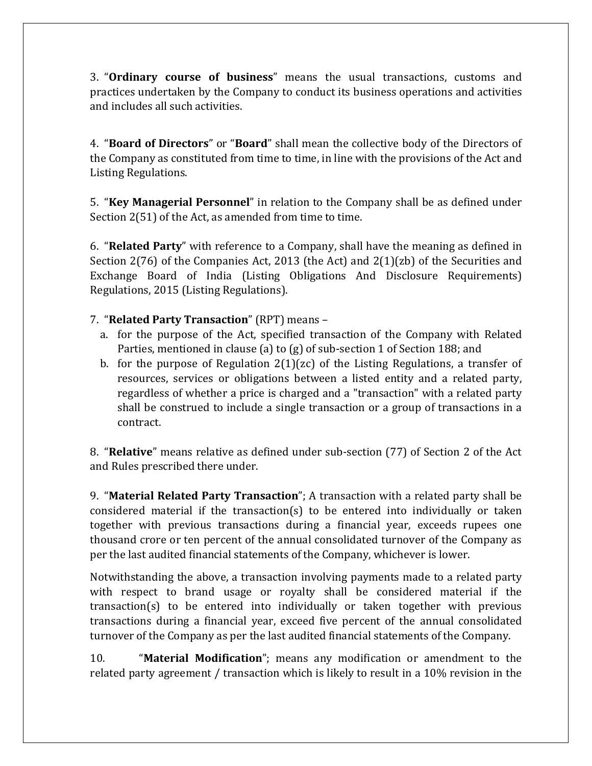3. "**Ordinary course of business**" means the usual transactions, customs and practices undertaken by the Company to conduct its business operations and activities and includes all such activities.

4. "**Board of Directors**" or "**Board**" shall mean the collective body of the Directors of the Company as constituted from time to time, in line with the provisions of the Act and Listing Regulations.

5. "**Key Managerial Personnel**" in relation to the Company shall be as defined under Section 2(51) of the Act, as amended from time to time.

6. "**Related Party**" with reference to a Company, shall have the meaning as defined in Section 2(76) of the Companies Act, 2013 (the Act) and 2(1)(zb) of the Securities and Exchange Board of India (Listing Obligations And Disclosure Requirements) Regulations, 2015 (Listing Regulations).

7. "**Related Party Transaction**" (RPT) means –

- a. for the purpose of the Act, specified transaction of the Company with Related Parties, mentioned in clause (a) to (g) of sub-section 1 of Section 188; and
- b. for the purpose of Regulation  $2(1)(zc)$  of the Listing Regulations, a transfer of resources, services or obligations between a listed entity and a related party, regardless of whether a price is charged and a "transaction" with a related party shall be construed to include a single transaction or a group of transactions in a contract.

8. "**Relative**" means relative as defined under sub-section (77) of Section 2 of the Act and Rules prescribed there under.

9. "**Material Related Party Transaction**"; A transaction with a related party shall be considered material if the transaction(s) to be entered into individually or taken together with previous transactions during a financial year, exceeds rupees one thousand crore or ten percent of the annual consolidated turnover of the Company as per the last audited financial statements of the Company, whichever is lower.

Notwithstanding the above, a transaction involving payments made to a related party with respect to brand usage or royalty shall be considered material if the transaction(s) to be entered into individually or taken together with previous transactions during a financial year, exceed five percent of the annual consolidated turnover of the Company as per the last audited financial statements of the Company.

10. "**Material Modification**"; means any modification or amendment to the related party agreement / transaction which is likely to result in a 10% revision in the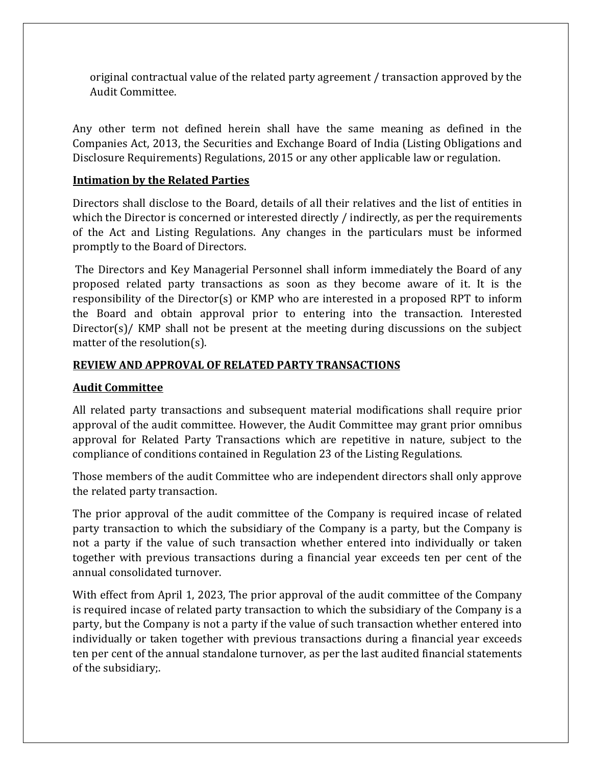original contractual value of the related party agreement / transaction approved by the Audit Committee.

Any other term not defined herein shall have the same meaning as defined in the Companies Act, 2013, the Securities and Exchange Board of India (Listing Obligations and Disclosure Requirements) Regulations, 2015 or any other applicable law or regulation.

#### **Intimation by the Related Parties**

Directors shall disclose to the Board, details of all their relatives and the list of entities in which the Director is concerned or interested directly / indirectly, as per the requirements of the Act and Listing Regulations. Any changes in the particulars must be informed promptly to the Board of Directors.

The Directors and Key Managerial Personnel shall inform immediately the Board of any proposed related party transactions as soon as they become aware of it. It is the responsibility of the Director(s) or KMP who are interested in a proposed RPT to inform the Board and obtain approval prior to entering into the transaction. Interested Director(s)/ KMP shall not be present at the meeting during discussions on the subject matter of the resolution(s).

#### **REVIEW AND APPROVAL OF RELATED PARTY TRANSACTIONS**

#### **Audit Committee**

All related party transactions and subsequent material modifications shall require prior approval of the audit committee. However, the Audit Committee may grant prior omnibus approval for Related Party Transactions which are repetitive in nature, subject to the compliance of conditions contained in Regulation 23 of the Listing Regulations.

Those members of the audit Committee who are independent directors shall only approve the related party transaction.

The prior approval of the audit committee of the Company is required incase of related party transaction to which the subsidiary of the Company is a party, but the Company is not a party if the value of such transaction whether entered into individually or taken together with previous transactions during a financial year exceeds ten per cent of the annual consolidated turnover.

With effect from April 1, 2023, The prior approval of the audit committee of the Company is required incase of related party transaction to which the subsidiary of the Company is a party, but the Company is not a party if the value of such transaction whether entered into individually or taken together with previous transactions during a financial year exceeds ten per cent of the annual standalone turnover, as per the last audited financial statements of the subsidiary;.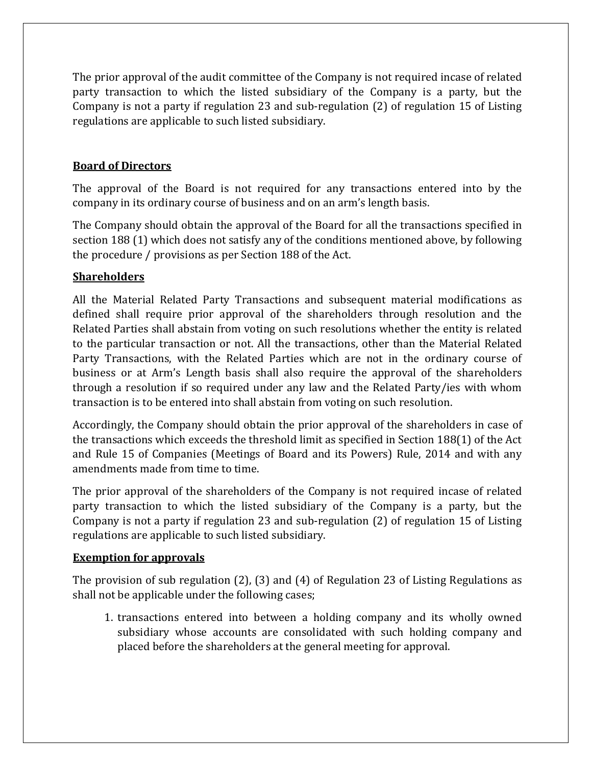The prior approval of the audit committee of the Company is not required incase of related party transaction to which the listed subsidiary of the Company is a party, but the Company is not a party if regulation 23 and sub-regulation (2) of regulation 15 of Listing regulations are applicable to such listed subsidiary.

#### **Board of Directors**

The approval of the Board is not required for any transactions entered into by the company in its ordinary course of business and on an arm's length basis.

The Company should obtain the approval of the Board for all the transactions specified in section 188 (1) which does not satisfy any of the conditions mentioned above, by following the procedure / provisions as per Section 188 of the Act.

#### **Shareholders**

All the Material Related Party Transactions and subsequent material modifications as defined shall require prior approval of the shareholders through resolution and the Related Parties shall abstain from voting on such resolutions whether the entity is related to the particular transaction or not. All the transactions, other than the Material Related Party Transactions, with the Related Parties which are not in the ordinary course of business or at Arm's Length basis shall also require the approval of the shareholders through a resolution if so required under any law and the Related Party/ies with whom transaction is to be entered into shall abstain from voting on such resolution.

Accordingly, the Company should obtain the prior approval of the shareholders in case of the transactions which exceeds the threshold limit as specified in Section 188(1) of the Act and Rule 15 of Companies (Meetings of Board and its Powers) Rule, 2014 and with any amendments made from time to time.

The prior approval of the shareholders of the Company is not required incase of related party transaction to which the listed subsidiary of the Company is a party, but the Company is not a party if regulation 23 and sub-regulation (2) of regulation 15 of Listing regulations are applicable to such listed subsidiary.

#### **Exemption for approvals**

The provision of sub regulation (2), (3) and (4) of Regulation 23 of Listing Regulations as shall not be applicable under the following cases;

1. transactions entered into between a holding company and its wholly owned subsidiary whose accounts are consolidated with such holding company and placed before the shareholders at the general meeting for approval.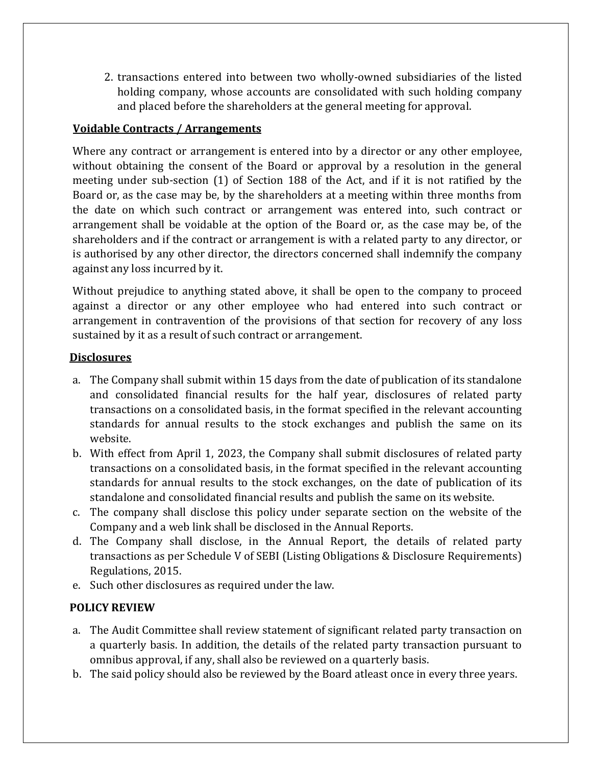2. transactions entered into between two wholly-owned subsidiaries of the listed holding company, whose accounts are consolidated with such holding company and placed before the shareholders at the general meeting for approval.

#### **Voidable Contracts / Arrangements**

Where any contract or arrangement is entered into by a director or any other employee, without obtaining the consent of the Board or approval by a resolution in the general meeting under sub-section (1) of Section 188 of the Act, and if it is not ratified by the Board or, as the case may be, by the shareholders at a meeting within three months from the date on which such contract or arrangement was entered into, such contract or arrangement shall be voidable at the option of the Board or, as the case may be, of the shareholders and if the contract or arrangement is with a related party to any director, or is authorised by any other director, the directors concerned shall indemnify the company against any loss incurred by it.

Without prejudice to anything stated above, it shall be open to the company to proceed against a director or any other employee who had entered into such contract or arrangement in contravention of the provisions of that section for recovery of any loss sustained by it as a result of such contract or arrangement.

#### **Disclosures**

- a. The Company shall submit within 15 days from the date of publication of its standalone and consolidated financial results for the half year, disclosures of related party transactions on a consolidated basis, in the format specified in the relevant accounting standards for annual results to the stock exchanges and publish the same on its website.
- b. With effect from April 1, 2023, the Company shall submit disclosures of related party transactions on a consolidated basis, in the format specified in the relevant accounting standards for annual results to the stock exchanges, on the date of publication of its standalone and consolidated financial results and publish the same on its website.
- c. The company shall disclose this policy under separate section on the website of the Company and a web link shall be disclosed in the Annual Reports.
- d. The Company shall disclose, in the Annual Report, the details of related party transactions as per Schedule V of SEBI (Listing Obligations & Disclosure Requirements) Regulations, 2015.
- e. Such other disclosures as required under the law.

#### **POLICY REVIEW**

- a. The Audit Committee shall review statement of significant related party transaction on a quarterly basis. In addition, the details of the related party transaction pursuant to omnibus approval, if any, shall also be reviewed on a quarterly basis.
- b. The said policy should also be reviewed by the Board atleast once in every three years.